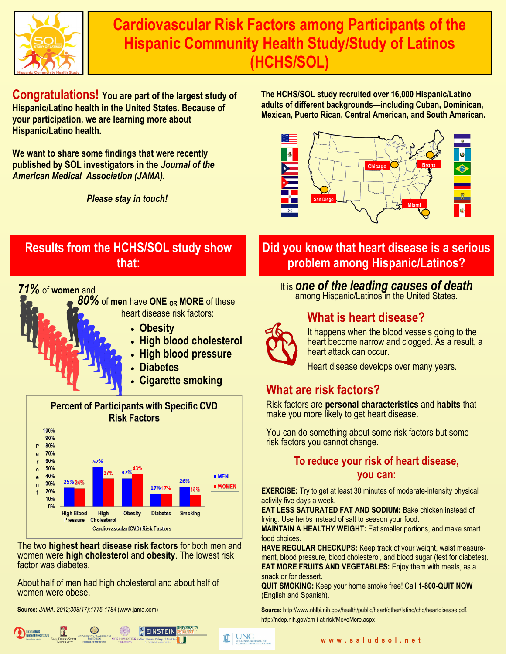

**Cardiovascular Risk Factors among Participants of the Hispanic Community Health Study/Study of Latinos (HCHS/SOL)**

**Congratulations! You are part of the largest study of Hispanic/Latino health in the United States. Because of your participation, we are learning more about Hispanic/Latino health.**

**We want to share some findings that were recently published by SOL investigators in the** *Journal of the American Medical Association (JAMA).*

*Please stay in touch!*

**The HCHS/SOL study recruited over 16,000 Hispanic/Latino adults of different backgrounds—including Cuban, Dominican, Mexican, Puerto Rican, Central American, and South American.**



## **Results from the HCHS/SOL study show that:**

### *71%* of **women** and





The two **highest heart disease risk factors** for both men and women were **high cholesterol** and **obesity**. The lowest risk factor was diabetes.

About half of men had high cholesterol and about half of women were obese.

**Source:** *JAMA. 2012;308(17):1775-1784* (www.jama.com)



# **Did you know that heart disease is a serious problem among Hispanic/Latinos?**

## It is *one of the leading causes of death*

among Hispanic/Latinos in the United States.

## **What is heart disease?**



**INC**<br>**EXECUTE OF SCHOOL OF SCHOOL OF** 

#### It happens when the blood vessels going to the heart become narrow and clogged. As a result, a heart attack can occur.

Heart disease develops over many years.

## **What are risk factors?**

Risk factors are **personal characteristics** and **habits** that make you more likely to get heart disease.

You can do something about some risk factors but some risk factors you cannot change.

### **To reduce your risk of heart disease, you can:**

**EXERCISE:** Try to get at least 30 minutes of moderate-intensity physical activity five days a week.

**EAT LESS SATURATED FAT AND SODIUM: Bake chicken instead of** frying. Use herbs instead of salt to season your food.

**MAINTAIN A HEALTHY WEIGHT:** Eat smaller portions, and make smart food choices.

**HAVE REGULAR CHECKUPS:** Keep track of your weight, waist measurement, blood pressure, blood cholesterol, and blood sugar (test for diabetes). **EAT MORE FRUITS AND VEGETABLES:** Enjoy them with meals, as a snack or for dessert.

**QUIT SMOKING:** Keep your home smoke free! Call **1-800-QUIT NOW**  (English and Spanish).

**Source:** http://www.nhlbi.nih.gov/health/public/heart/other/latino/chd/heartdisease.pdf, http://ndep.nih.gov/am-i-at-risk/MoveMore.aspx